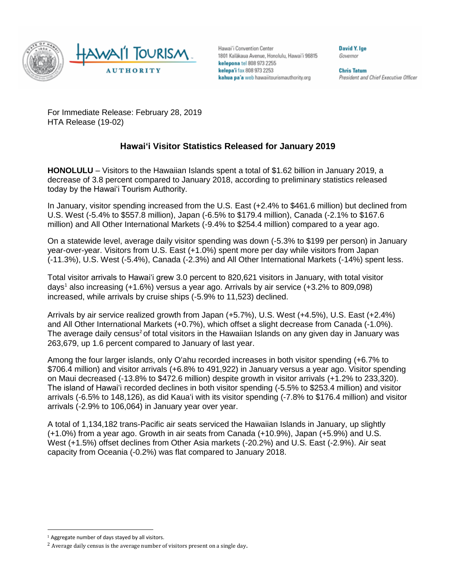

Hawai'i Convention Center 1801 Kalakaua Avenue, Honolulu, Hawai'i 96815 kelepona tel 808 973 2255 kelepa'i fax 808 973 2253 kahua pa'a web hawaiitourismauthority.org

David Y. Ige Governor

**Chris Tatum** President and Chief Executive Officer

For Immediate Release: February 28, 2019 HTA Release (19-02)

# **Hawai'i Visitor Statistics Released for January 2019**

**HONOLULU** – Visitors to the Hawaiian Islands spent a total of \$1.62 billion in January 2019, a decrease of 3.8 percent compared to January 2018, according to preliminary statistics released today by the Hawai'i Tourism Authority.

In January, visitor spending increased from the U.S. East (+2.4% to \$461.6 million) but declined from U.S. West (-5.4% to \$557.8 million), Japan (-6.5% to \$179.4 million), Canada (-2.1% to \$167.6 million) and All Other International Markets (-9.4% to \$254.4 million) compared to a year ago.

On a statewide level, average daily visitor spending was down (-5.3% to \$199 per person) in January year-over-year. Visitors from U.S. East (+1.0%) spent more per day while visitors from Japan (-11.3%), U.S. West (-5.4%), Canada (-2.3%) and All Other International Markets (-14%) spent less.

Total visitor arrivals to Hawai'i grew 3.0 percent to 820,621 visitors in January, with total visitor days<sup>1</sup> also increasing  $(+1.6%)$  versus a year ago. Arrivals by air service  $(+3.2%$  to 809,098) increased, while arrivals by cruise ships (-5.9% to 11,523) declined.

Arrivals by air service realized growth from Japan (+5.7%), U.S. West (+4.5%), U.S. East (+2.4%) and All Other International Markets (+0.7%), which offset a slight decrease from Canada (-1.0%). The average daily census<sup>2</sup> of total visitors in the Hawaiian Islands on any given day in January was 263,679, up 1.6 percent compared to January of last year.

Among the four larger islands, only O'ahu recorded increases in both visitor spending (+6.7% to \$706.4 million) and visitor arrivals (+6.8% to 491,922) in January versus a year ago. Visitor spending on Maui decreased (-13.8% to \$472.6 million) despite growth in visitor arrivals (+1.2% to 233,320). The island of Hawai'i recorded declines in both visitor spending (-5.5% to \$253.4 million) and visitor arrivals (-6.5% to 148,126), as did Kaua'i with its visitor spending (-7.8% to \$176.4 million) and visitor arrivals (-2.9% to 106,064) in January year over year.

A total of 1,134,182 trans-Pacific air seats serviced the Hawaiian Islands in January, up slightly (+1.0%) from a year ago. Growth in air seats from Canada (+10.9%), Japan (+5.9%) and U.S. West (+1.5%) offset declines from Other Asia markets (-20.2%) and U.S. East (-2.9%). Air seat capacity from Oceania (-0.2%) was flat compared to January 2018.

 $\overline{a}$ 

<sup>&</sup>lt;sup>1</sup> Aggregate number of days stayed by all visitors.

 $2$  Average daily census is the average number of visitors present on a single day.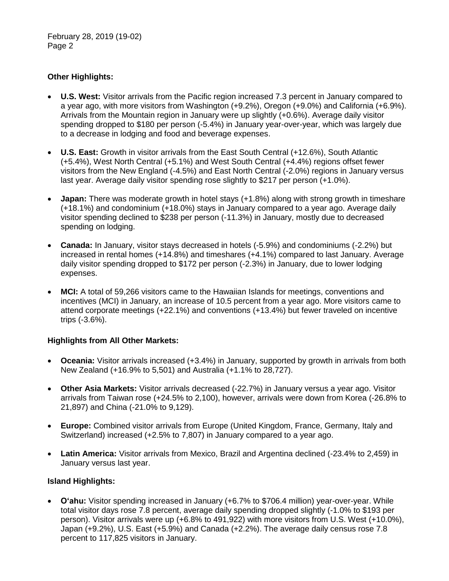February 28, 2019 (19-02) Page 2

# **Other Highlights:**

- **U.S. West:** Visitor arrivals from the Pacific region increased 7.3 percent in January compared to a year ago, with more visitors from Washington (+9.2%), Oregon (+9.0%) and California (+6.9%). Arrivals from the Mountain region in January were up slightly (+0.6%). Average daily visitor spending dropped to \$180 per person (-5.4%) in January year-over-year, which was largely due to a decrease in lodging and food and beverage expenses.
- **U.S. East:** Growth in visitor arrivals from the East South Central (+12.6%), South Atlantic (+5.4%), West North Central (+5.1%) and West South Central (+4.4%) regions offset fewer visitors from the New England (-4.5%) and East North Central (-2.0%) regions in January versus last year. Average daily visitor spending rose slightly to \$217 per person (+1.0%).
- **Japan:** There was moderate growth in hotel stays (+1.8%) along with strong growth in timeshare (+18.1%) and condominium (+18.0%) stays in January compared to a year ago. Average daily visitor spending declined to \$238 per person (-11.3%) in January, mostly due to decreased spending on lodging.
- **Canada:** In January, visitor stays decreased in hotels (-5.9%) and condominiums (-2.2%) but increased in rental homes (+14.8%) and timeshares (+4.1%) compared to last January. Average daily visitor spending dropped to \$172 per person (-2.3%) in January, due to lower lodging expenses.
- **MCI:** A total of 59,266 visitors came to the Hawaiian Islands for meetings, conventions and incentives (MCI) in January, an increase of 10.5 percent from a year ago. More visitors came to attend corporate meetings (+22.1%) and conventions (+13.4%) but fewer traveled on incentive trips (-3.6%).

### **Highlights from All Other Markets:**

- **Oceania:** Visitor arrivals increased (+3.4%) in January, supported by growth in arrivals from both New Zealand (+16.9% to 5,501) and Australia (+1.1% to 28,727).
- **Other Asia Markets:** Visitor arrivals decreased (-22.7%) in January versus a year ago. Visitor arrivals from Taiwan rose (+24.5% to 2,100), however, arrivals were down from Korea (-26.8% to 21,897) and China (-21.0% to 9,129).
- **Europe:** Combined visitor arrivals from Europe (United Kingdom, France, Germany, Italy and Switzerland) increased (+2.5% to 7,807) in January compared to a year ago.
- **Latin America:** Visitor arrivals from Mexico, Brazil and Argentina declined (-23.4% to 2,459) in January versus last year.

### **Island Highlights:**

• **O'ahu:** Visitor spending increased in January (+6.7% to \$706.4 million) year-over-year. While total visitor days rose 7.8 percent, average daily spending dropped slightly (-1.0% to \$193 per person). Visitor arrivals were up (+6.8% to 491,922) with more visitors from U.S. West (+10.0%), Japan (+9.2%), U.S. East (+5.9%) and Canada (+2.2%). The average daily census rose 7.8 percent to 117,825 visitors in January.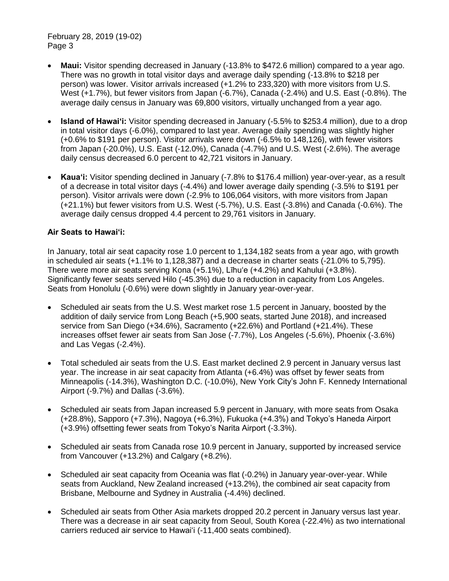February 28, 2019 (19-02) Page 3

- **Maui:** Visitor spending decreased in January (-13.8% to \$472.6 million) compared to a year ago. There was no growth in total visitor days and average daily spending (-13.8% to \$218 per person) was lower. Visitor arrivals increased (+1.2% to 233,320) with more visitors from U.S. West (+1.7%), but fewer visitors from Japan (-6.7%), Canada (-2.4%) and U.S. East (-0.8%). The average daily census in January was 69,800 visitors, virtually unchanged from a year ago.
- **Island of Hawai'i:** Visitor spending decreased in January (-5.5% to \$253.4 million), due to a drop in total visitor days (-6.0%), compared to last year. Average daily spending was slightly higher (+0.6% to \$191 per person). Visitor arrivals were down (-6.5% to 148,126), with fewer visitors from Japan (-20.0%), U.S. East (-12.0%), Canada (-4.7%) and U.S. West (-2.6%). The average daily census decreased 6.0 percent to 42,721 visitors in January.
- **Kaua'i:** Visitor spending declined in January (-7.8% to \$176.4 million) year-over-year, as a result of a decrease in total visitor days (-4.4%) and lower average daily spending (-3.5% to \$191 per person). Visitor arrivals were down (-2.9% to 106,064 visitors, with more visitors from Japan (+21.1%) but fewer visitors from U.S. West (-5.7%), U.S. East (-3.8%) and Canada (-0.6%). The average daily census dropped 4.4 percent to 29,761 visitors in January.

# **Air Seats to Hawai'i:**

In January, total air seat capacity rose 1.0 percent to 1,134,182 seats from a year ago, with growth in scheduled air seats (+1.1% to 1,128,387) and a decrease in charter seats (-21.0% to 5,795). There were more air seats serving Kona (+5.1%), Līhu'e (+4.2%) and Kahului (+3.8%). Significantly fewer seats served Hilo (-45.3%) due to a reduction in capacity from Los Angeles. Seats from Honolulu (-0.6%) were down slightly in January year-over-year.

- Scheduled air seats from the U.S. West market rose 1.5 percent in January, boosted by the addition of daily service from Long Beach (+5,900 seats, started June 2018), and increased service from San Diego (+34.6%), Sacramento (+22.6%) and Portland (+21.4%). These increases offset fewer air seats from San Jose (-7.7%), Los Angeles (-5.6%), Phoenix (-3.6%) and Las Vegas (-2.4%).
- Total scheduled air seats from the U.S. East market declined 2.9 percent in January versus last year. The increase in air seat capacity from Atlanta (+6.4%) was offset by fewer seats from Minneapolis (-14.3%), Washington D.C. (-10.0%), New York City's John F. Kennedy International Airport (-9.7%) and Dallas (-3.6%).
- Scheduled air seats from Japan increased 5.9 percent in January, with more seats from Osaka (+28.8%), Sapporo (+7.3%), Nagoya (+6.3%), Fukuoka (+4.3%) and Tokyo's Haneda Airport (+3.9%) offsetting fewer seats from Tokyo's Narita Airport (-3.3%).
- Scheduled air seats from Canada rose 10.9 percent in January, supported by increased service from Vancouver (+13.2%) and Calgary (+8.2%).
- Scheduled air seat capacity from Oceania was flat (-0.2%) in January year-over-year. While seats from Auckland, New Zealand increased (+13.2%), the combined air seat capacity from Brisbane, Melbourne and Sydney in Australia (-4.4%) declined.
- Scheduled air seats from Other Asia markets dropped 20.2 percent in January versus last year. There was a decrease in air seat capacity from Seoul, South Korea (-22.4%) as two international carriers reduced air service to Hawai'i (-11,400 seats combined).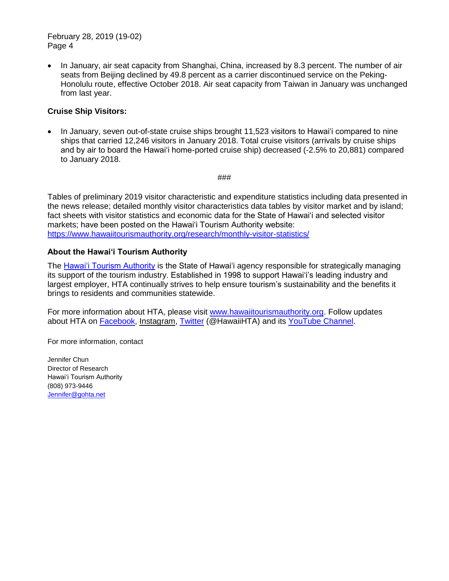February 28, 2019 (19-02) Page 4

• In January, air seat capacity from Shanghai, China, increased by 8.3 percent. The number of air seats from Beijing declined by 49.8 percent as a carrier discontinued service on the Peking-Honolulu route, effective October 2018. Air seat capacity from Taiwan in January was unchanged from last year.

## **Cruise Ship Visitors:**

• In January, seven out-of-state cruise ships brought 11,523 visitors to Hawai'i compared to nine ships that carried 12,246 visitors in January 2018. Total cruise visitors (arrivals by cruise ships and by air to board the Hawai'i home-ported cruise ship) decreased (-2.5% to 20,881) compared to January 2018.

###

Tables of preliminary 2019 visitor characteristic and expenditure statistics including data presented in the news release; detailed monthly visitor characteristics data tables by visitor market and by island; fact sheets with visitor statistics and economic data for the State of Hawai'i and selected visitor markets; have been posted on the Hawai'i Tourism Authority website: <https://www.hawaiitourismauthority.org/research/monthly-visitor-statistics/>

### **About the Hawai'i Tourism Authority**

The [Hawai'i Tourism Authority](http://www.hawaiitourismauthority.org/) is the State of Hawai'i agency responsible for strategically managing its support of the tourism industry. Established in 1998 to support Hawai'i's leading industry and largest employer, HTA continually strives to help ensure tourism's sustainability and the benefits it brings to residents and communities statewide.

For more information about HTA, please visit [www.hawaiitourismauthority.org.](http://www.hawaiitourismauthority.org/) Follow updates about HTA on [Facebook,](http://www.facebook.com/HawaiiHTA) [Instagram,](https://www.instagram.com/hawaiihta/) [Twitter](http://twitter.com/HawaiiHTA) (@HawaiiHTA) and its [YouTube Channel.](https://www.youtube.com/user/HawaiiHTA)

For more information, contact

Jennifer Chun Director of Research Hawai'i Tourism Authority (808) 973-9446 [Jennifer@gohta.net](mailto:Jennifer@gohta.net)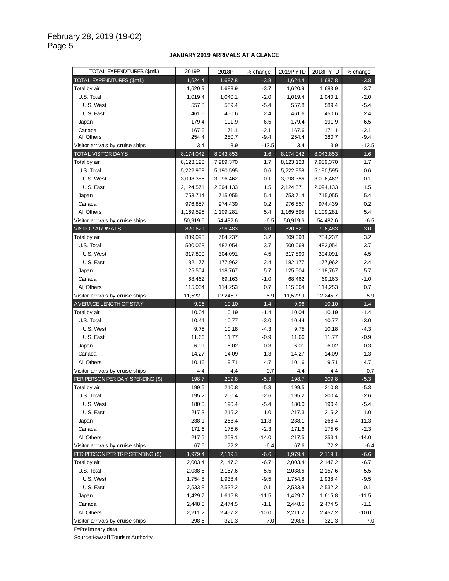#### **JANUARY 2019 ARRIVALS AT A GLANCE**

| TOTAL EXPENDITURES (\$mil.)       | 2019P              | 2018P              | % change      | 2019PYTD           | 2018PYTD          | % change      |
|-----------------------------------|--------------------|--------------------|---------------|--------------------|-------------------|---------------|
| TOTAL EXPENDITURES (\$mil.)       | 1,624.4            | 1,687.8            | $-3.8$        | 1,624.4            | 1,687.8           | $-3.8$        |
| Total by air                      | 1,620.9            | 1,683.9            | $-3.7$        | 1,620.9            | 1,683.9           | $-3.7$        |
| U.S. Total                        | 1,019.4            | 1,040.1            | $-2.0$        | 1,019.4            | 1,040.1           | $-2.0$        |
| U.S. West                         | 557.8              | 589.4              | $-5.4$        | 557.8              | 589.4             | $-5.4$        |
| U.S. East                         | 461.6              | 450.6              | 2.4           | 461.6              | 450.6             | 2.4           |
| Japan                             | 179.4              | 191.9              | $-6.5$        | 179.4              | 191.9             | $-6.5$        |
| Canada                            | 167.6              | 171.1              | $-2.1$        | 167.6              | 171.1             | $-2.1$        |
| All Others                        | 254.4              | 280.7              | $-9.4$        | 254.4              | 280.7             | $-9.4$        |
| Visitor arrivals by cruise ships  | 3.4                | 3.9                | $-12.5$       | 3.4                | 3.9               | $-12.5$       |
| <b>TOTAL VISITOR DAYS</b>         | 8,174,042          | 8,043,853          | 1.6           | 8,174,042          | 8,043,853         | 1.6           |
| Total by air                      | 8,123,123          | 7,989,370          | 1.7           | 8,123,123          | 7,989,370         | 1.7           |
| U.S. Total                        | 5,222,958          | 5,190,595          | 0.6           | 5,222,958          | 5,190,595         | 0.6           |
| U.S. West                         | 3,098,386          | 3,096,462          | 0.1           | 3,098,386          | 3,096,462         | 0.1           |
| U.S. East                         | 2,124,571          | 2,094,133          | 1.5           | 2,124,571          | 2,094,133         | 1.5           |
| Japan                             | 753,714            | 715,055            | 5.4           | 753,714            | 715,055           | 5.4           |
| Canada                            | 976,857            | 974,439            | 0.2           | 976,857            | 974,439           | 0.2           |
| All Others                        | 1,169,595          | 1,109,281          | 5.4           | 1,169,595          | 1,109,281         | 5.4           |
| Visitor arrivals by cruise ships  | 50,919.6           | 54,482.6           | $-6.5$        | 50,919.6           | 54,482.6          | $-6.5$        |
| <b>VISITOR ARRIVALS</b>           | 820,621            | 796,483            | 3.0<br>3.2    | 820,621            | 796,483           | 3.0<br>3.2    |
| Total by air<br>U.S. Total        | 809,098            | 784,237<br>482,054 | 3.7           | 809,098<br>500,068 | 784,237           | 3.7           |
| U.S. West                         | 500,068            |                    |               |                    | 482,054           | 4.5           |
| U.S. East                         | 317,890            | 304,091            | 4.5           | 317,890            | 304,091           | 2.4           |
| Japan                             | 182,177<br>125,504 | 177,962<br>118,767 | 2.4           | 182,177            | 177,962           | 5.7           |
| Canada                            |                    |                    | 5.7           | 125,504            | 118,767           |               |
| All Others                        | 68,462<br>115,064  | 69,163<br>114,253  | $-1.0$        | 68,462<br>115,064  | 69,163<br>114,253 | $-1.0$<br>0.7 |
| Visitor arrivals by cruise ships  | 11,522.9           | 12,245.7           | 0.7<br>$-5.9$ | 11,522.9           | 12,245.7          | $-5.9$        |
| AVERAGE LENGTH OF STAY            | 9.96               | 10.10              | $-1.4$        | 9.96               | 10.10             | $-1.4$        |
| Total by air                      | 10.04              | 10.19              | $-1.4$        | 10.04              | 10.19             | $-1.4$        |
| U.S. Total                        | 10.44              | 10.77              | $-3.0$        | 10.44              | 10.77             | $-3.0$        |
| U.S. West                         | 9.75               | 10.18              | $-4.3$        | 9.75               | 10.18             | $-4.3$        |
| U.S. East                         | 11.66              | 11.77              | $-0.9$        | 11.66              | 11.77             | $-0.9$        |
| Japan                             | 6.01               | 6.02               | $-0.3$        | 6.01               | 6.02              | $-0.3$        |
| Canada                            | 14.27              | 14.09              | 1.3           | 14.27              | 14.09             | 1.3           |
| All Others                        | 10.16              | 9.71               | 4.7           | 10.16              | 9.71              | 4.7           |
| Visitor arrivals by cruise ships  | 4.4                | 4.4                | $-0.7$        | 4.4                | 4.4               | $-0.7$        |
| PER PERSON PER DAY SPENDING (\$)  | 198.7              | 209.8              | $-5.3$        | 198.7              | 209.8             | $-5.3$        |
| Total by air                      | 199.5              | 210.8              | $-5.3$        | 199.5              | 210.8             | $-5.3$        |
| U.S. Total                        | 195.2              | 200.4              | $-2.6$        | 195.2              | 200.4             | $-2.6$        |
| U.S. West                         | 180.0              | 190.4              | -5.4          | 180.0              | 190.4             | $-5.4$        |
| U.S. East                         | 217.3              | 215.2              | 1.0           | 217.3              | 215.2             | 1.0           |
| Japan                             | 238.1              | 268.4              | $-11.3$       | 238.1              | 268.4             | $-11.3$       |
| Canada                            | 171.6              | 175.6              | $-2.3$        | 171.6              | 175.6             | $-2.3$        |
| All Others                        | 217.5              | 253.1              | $-14.0$       | 217.5              | 253.1             | $-14.0$       |
| Visitor arrivals by cruise ships  | 67.6               | 72.2               | $-6.4$        | 67.6               | 72.2              | $-6.4$        |
| PER PERSON PER TRIP SPENDING (\$) | 1,979.4            | 2,119.1            | $-6.6$        | 1,979.4            | 2,119.1           | $-6.6$        |
| Total by air                      | 2,003.4            | 2,147.2            | $-6.7$        | 2,003.4            | 2,147.2           | $-6.7$        |
| U.S. Total                        | 2,038.6            | 2,157.6            | $-5.5$        | 2,038.6            | 2,157.6           | $-5.5$        |
| U.S. West                         | 1,754.8            | 1,938.4            | $-9.5$        | 1,754.8            | 1,938.4           | $-9.5$        |
| U.S. East                         | 2,533.8            | 2,532.2            | 0.1           | 2,533.8            | 2,532.2           | 0.1           |
| Japan                             |                    |                    |               | 1,429.7            | 1,615.8           | $-11.5$       |
|                                   | 1,429.7            | 1,615.8            | $-11.5$       |                    |                   |               |
| Canada                            | 2,448.5            | 2,474.5            | $-1.1$        | 2,448.5            | 2,474.5           | $-1.1$        |
| All Others                        | 2,211.2            | 2,457.2            | $-10.0$       | 2,211.2            | 2,457.2           | $-10.0$       |

P=Preliminary data.

Source:Haw ai'i Tourism Authority